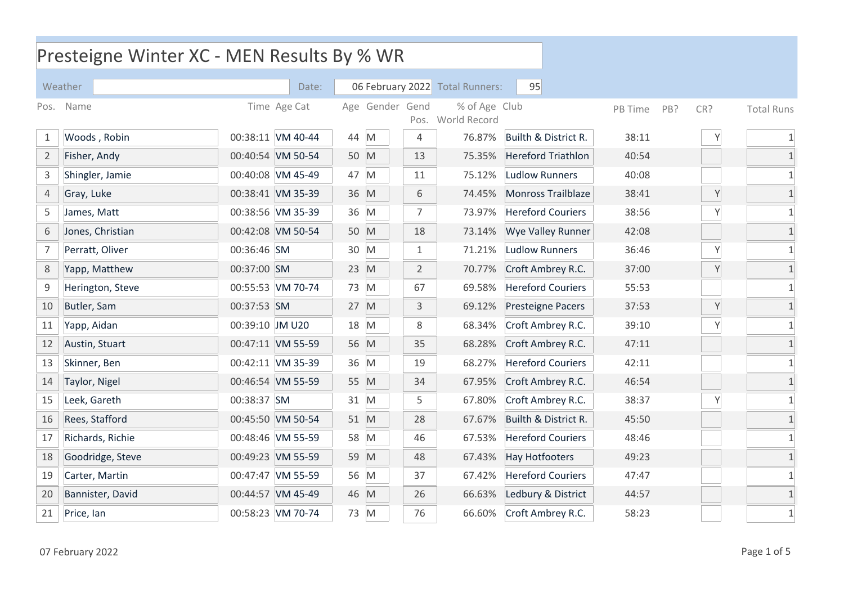| Presteigne Winter XC - MEN Results By % WR |                  |                 |                   |      |   |                 |                                    |                           |         |            |                   |  |
|--------------------------------------------|------------------|-----------------|-------------------|------|---|-----------------|------------------------------------|---------------------------|---------|------------|-------------------|--|
|                                            | Weather          |                 | Date:             |      |   |                 | 06 February 2022 Total Runners:    | 95                        |         |            |                   |  |
| Pos.                                       | Name             |                 | Time Age Cat      |      |   | Age Gender Gend | % of Age Club<br>Pos. World Record |                           | PB Time | CR?<br>PB? | <b>Total Runs</b> |  |
| 1                                          | Woods, Robin     |                 | 00:38:11 VM 40-44 | 44 M |   | $\overline{4}$  | 76.87%                             | Builth & District R.      | 38:11   |            | $\mathbf{1}$      |  |
| $\overline{2}$                             | Fisher, Andy     |                 | 00:40:54 VM 50-54 | 50 M |   | 13              | 75.35%                             | <b>Hereford Triathlon</b> | 40:54   |            | $\mathbf{1}$      |  |
| 3                                          | Shingler, Jamie  |                 | 00:40:08 VM 45-49 | 47 M |   | 11              | 75.12%                             | <b>Ludlow Runners</b>     | 40:08   |            | $\mathbf{1}$      |  |
| 4                                          | Gray, Luke       |                 | 00:38:41 VM 35-39 | 36 M |   | 6               | 74.45%                             | <b>Monross Trailblaze</b> | 38:41   |            | $\mathbf{1}$<br>Υ |  |
| 5                                          | James, Matt      |                 | 00:38:56 VM 35-39 | 36 M |   | 7               | 73.97%                             | <b>Hereford Couriers</b>  | 38:56   |            | $\mathbf{1}$<br>Y |  |
| 6                                          | Jones, Christian |                 | 00:42:08 VM 50-54 | 50 M |   | 18              | 73.14%                             | <b>Wye Valley Runner</b>  | 42:08   |            | $\mathbf{1}$      |  |
| $\overline{7}$                             | Perratt, Oliver  | 00:36:46 SM     |                   | 30 M |   | $\mathbf{1}$    | 71.21%                             | <b>Ludlow Runners</b>     | 36:46   |            | Y<br>$\mathbf{1}$ |  |
| 8                                          | Yapp, Matthew    | 00:37:00 SM     |                   | 23 M |   | $\overline{2}$  | 70.77%                             | Croft Ambrey R.C.         | 37:00   |            | $1\,$<br>Y        |  |
| 9                                          | Herington, Steve |                 | 00:55:53 VM 70-74 | 73 M |   | 67              | 69.58%                             | <b>Hereford Couriers</b>  | 55:53   |            | $\mathbf{1}$      |  |
| 10                                         | Butler, Sam      | 00:37:53 SM     |                   | 27   | M | 3               | 69.12%                             | <b>Presteigne Pacers</b>  | 37:53   |            | Y<br>$\mathbf{1}$ |  |
| 11                                         | Yapp, Aidan      | 00:39:10 JM U20 |                   | 18 M |   | 8               | 68.34%                             | Croft Ambrey R.C.         | 39:10   |            | Y<br>$\mathbf{1}$ |  |
| 12                                         | Austin, Stuart   |                 | 00:47:11 VM 55-59 | 56 M |   | 35              | 68.28%                             | Croft Ambrey R.C.         | 47:11   |            | $\mathbf{1}$      |  |
| 13                                         | Skinner, Ben     |                 | 00:42:11 VM 35-39 | 36 M |   | 19              | 68.27%                             | <b>Hereford Couriers</b>  | 42:11   |            | $\mathbf{1}$      |  |
| 14                                         | Taylor, Nigel    |                 | 00:46:54 VM 55-59 | 55 M |   | 34              | 67.95%                             | Croft Ambrey R.C.         | 46:54   |            | $\mathbf{1}$      |  |
| 15                                         | Leek, Gareth     | 00:38:37 SM     |                   | 31 M |   | 5               | 67.80%                             | Croft Ambrey R.C.         | 38:37   |            | Y<br>$\mathbf{1}$ |  |
| 16                                         | Rees, Stafford   |                 | 00:45:50 VM 50-54 | 51 M |   | 28              | 67.67%                             | Builth & District R.      | 45:50   |            | $\mathbf{1}$      |  |
| 17                                         | Richards, Richie |                 | 00:48:46 VM 55-59 | 58 M |   | 46              | 67.53%                             | <b>Hereford Couriers</b>  | 48:46   |            | $\mathbf{1}$      |  |
| 18                                         | Goodridge, Steve |                 | 00:49:23 VM 55-59 | 59 M |   | 48              | 67.43%                             | <b>Hay Hotfooters</b>     | 49:23   |            | $\mathbf{1}$      |  |
| 19                                         | Carter, Martin   |                 | 00:47:47 VM 55-59 | 56 M |   | 37              | 67.42%                             | <b>Hereford Couriers</b>  | 47:47   |            | $\mathbf{1}$      |  |
| 20                                         | Bannister, David |                 | 00:44:57 VM 45-49 | 46 M |   | 26              | 66.63%                             | Ledbury & District        | 44:57   |            | $\mathbf{1}$      |  |
| 21                                         | Price, Ian       |                 | 00:58:23 VM 70-74 | 73 M |   | 76              | 66.60%                             | Croft Ambrey R.C.         | 58:23   |            | $\mathbf{1}$      |  |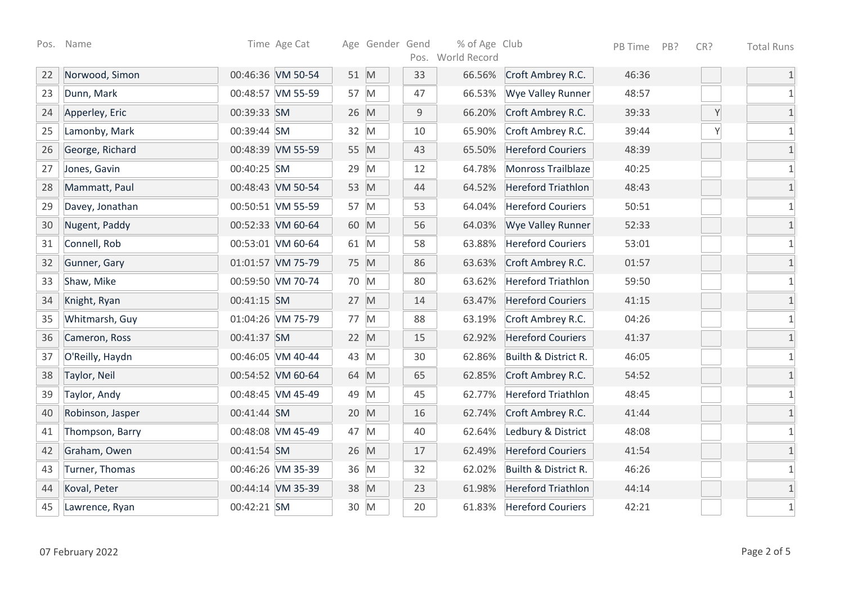| Pos. | Name             |             | Time Age Cat      |      | Age Gender Gend |    | % of Age Club<br>Pos. World Record |                           | PB Time | PB? | CR? | <b>Total Runs</b> |
|------|------------------|-------------|-------------------|------|-----------------|----|------------------------------------|---------------------------|---------|-----|-----|-------------------|
| 22   | Norwood, Simon   |             | 00:46:36 VM 50-54 | 51 M |                 | 33 | 66.56%                             | Croft Ambrey R.C.         | 46:36   |     |     | $\mathbf{1}$      |
| 23   | Dunn, Mark       |             | 00:48:57 VM 55-59 | 57 M |                 | 47 | 66.53%                             | Wye Valley Runner         | 48:57   |     |     | $\mathbf{1}$      |
| 24   | Apperley, Eric   | 00:39:33 SM |                   | 26 M |                 | 9  | 66.20%                             | Croft Ambrey R.C.         | 39:33   |     | Y   | $\mathbf{1}$      |
| 25   | Lamonby, Mark    | 00:39:44 SM |                   | 32 M |                 | 10 | 65.90%                             | Croft Ambrey R.C.         | 39:44   |     | Y   | $\mathbf{1}$      |
| 26   | George, Richard  |             | 00:48:39 VM 55-59 | 55 M |                 | 43 | 65.50%                             | <b>Hereford Couriers</b>  | 48:39   |     |     | $\mathbf{1}$      |
| 27   | Jones, Gavin     | 00:40:25 SM |                   | 29 M |                 | 12 | 64.78%                             | <b>Monross Trailblaze</b> | 40:25   |     |     | $\mathbf{1}$      |
| 28   | Mammatt, Paul    |             | 00:48:43 VM 50-54 | 53 M |                 | 44 | 64.52%                             | <b>Hereford Triathlon</b> | 48:43   |     |     | $\mathbf{1}$      |
| 29   | Davey, Jonathan  |             | 00:50:51 VM 55-59 | 57 M |                 | 53 | 64.04%                             | <b>Hereford Couriers</b>  | 50:51   |     |     | $\mathbf{1}$      |
| 30   | Nugent, Paddy    |             | 00:52:33 VM 60-64 | 60 M |                 | 56 | 64.03%                             | <b>Wye Valley Runner</b>  | 52:33   |     |     | $\mathbf{1}$      |
| 31   | Connell, Rob     |             | 00:53:01 VM 60-64 | 61 M |                 | 58 | 63.88%                             | <b>Hereford Couriers</b>  | 53:01   |     |     | $\mathbf{1}$      |
| 32   | Gunner, Gary     |             | 01:01:57 VM 75-79 | 75 M |                 | 86 | 63.63%                             | Croft Ambrey R.C.         | 01:57   |     |     | $\mathbf{1}$      |
| 33   | Shaw, Mike       |             | 00:59:50 VM 70-74 | 70 M |                 | 80 | 63.62%                             | <b>Hereford Triathlon</b> | 59:50   |     |     | $\mathbf{1}$      |
| 34   | Knight, Ryan     | 00:41:15 SM |                   | 27 M |                 | 14 | 63.47%                             | <b>Hereford Couriers</b>  | 41:15   |     |     | $\mathbf{1}$      |
| 35   | Whitmarsh, Guy   |             | 01:04:26 VM 75-79 | 77 M |                 | 88 | 63.19%                             | Croft Ambrey R.C.         | 04:26   |     |     | $\mathbf{1}$      |
| 36   | Cameron, Ross    | 00:41:37 SM |                   | 22 M |                 | 15 | 62.92%                             | <b>Hereford Couriers</b>  | 41:37   |     |     | $\mathbf{1}$      |
| 37   | O'Reilly, Haydn  |             | 00:46:05 VM 40-44 | 43 M |                 | 30 | 62.86%                             | Builth & District R.      | 46:05   |     |     | $\mathbf{1}$      |
| 38   | Taylor, Neil     |             | 00:54:52 VM 60-64 | 64 M |                 | 65 | 62.85%                             | Croft Ambrey R.C.         | 54:52   |     |     | $\mathbf{1}$      |
| 39   | Taylor, Andy     |             | 00:48:45 VM 45-49 | 49   | M               | 45 | 62.77%                             | <b>Hereford Triathlon</b> | 48:45   |     |     | $\mathbf{1}$      |
| 40   | Robinson, Jasper | 00:41:44 SM |                   | 20 M |                 | 16 | 62.74%                             | Croft Ambrey R.C.         | 41:44   |     |     | $\mathbf{1}$      |
| 41   | Thompson, Barry  |             | 00:48:08 VM 45-49 | 47 M |                 | 40 | 62.64%                             | Ledbury & District        | 48:08   |     |     | $\mathbf{1}$      |
| 42   | Graham, Owen     | 00:41:54 SM |                   | 26 M |                 | 17 | 62.49%                             | <b>Hereford Couriers</b>  | 41:54   |     |     | $\mathbf{1}$      |
| 43   | Turner, Thomas   |             | 00:46:26 VM 35-39 | 36 M |                 | 32 | 62.02%                             | Builth & District R.      | 46:26   |     |     | $\mathbf{1}$      |
| 44   | Koval, Peter     |             | 00:44:14 VM 35-39 | 38 M |                 | 23 | 61.98%                             | <b>Hereford Triathlon</b> | 44:14   |     |     | $\mathbf{1}$      |
| 45   | Lawrence, Ryan   | 00:42:21 SM |                   | 30 M |                 | 20 | 61.83%                             | <b>Hereford Couriers</b>  | 42:21   |     |     | $\mathbf{1}$      |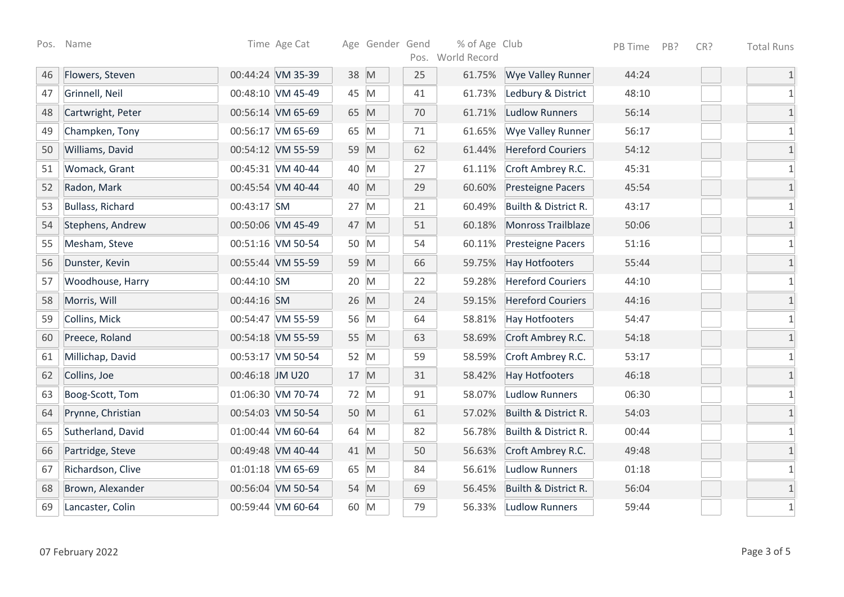| Pos. | Name              |                 | Time Age Cat      |      | Age Gender Gend |    | % of Age Club<br>Pos. World Record |                          | PB Time | PB? | CR? | <b>Total Runs</b> |
|------|-------------------|-----------------|-------------------|------|-----------------|----|------------------------------------|--------------------------|---------|-----|-----|-------------------|
| 46   | Flowers, Steven   |                 | 00:44:24 VM 35-39 | 38 M |                 | 25 | 61.75%                             | <b>Wye Valley Runner</b> | 44:24   |     |     | $1\,$             |
| 47   | Grinnell, Neil    |                 | 00:48:10 VM 45-49 | 45 M |                 | 41 | 61.73%                             | Ledbury & District       | 48:10   |     |     | $\mathbf{1}$      |
| 48   | Cartwright, Peter |                 | 00:56:14 VM 65-69 | 65 M |                 | 70 | 61.71%                             | <b>Ludlow Runners</b>    | 56:14   |     |     | $\mathbf{1}$      |
| 49   | Champken, Tony    |                 | 00:56:17 VM 65-69 | 65 M |                 | 71 | 61.65%                             | <b>Wye Valley Runner</b> | 56:17   |     |     | $\mathbf{1}$      |
| 50   | Williams, David   |                 | 00:54:12 VM 55-59 | 59 M |                 | 62 | 61.44%                             | <b>Hereford Couriers</b> | 54:12   |     |     | $\mathbf{1}$      |
| 51   | Womack, Grant     |                 | 00:45:31 VM 40-44 | 40 M |                 | 27 | 61.11%                             | Croft Ambrey R.C.        | 45:31   |     |     | $\mathbf{1}$      |
| 52   | Radon, Mark       |                 | 00:45:54 VM 40-44 | 40 M |                 | 29 | 60.60%                             | Presteigne Pacers        | 45:54   |     |     | $\mathbf{1}$      |
| 53   | Bullass, Richard  | 00:43:17 SM     |                   | 27   | M               | 21 | 60.49%                             | Builth & District R.     | 43:17   |     |     | $\mathbf{1}$      |
| 54   | Stephens, Andrew  |                 | 00:50:06 VM 45-49 | 47   | $\mathsf{M}$    | 51 | 60.18%                             | Monross Trailblaze       | 50:06   |     |     | $\mathbf{1}$      |
| 55   | Mesham, Steve     |                 | 00:51:16 VM 50-54 | 50 M |                 | 54 | 60.11%                             | <b>Presteigne Pacers</b> | 51:16   |     |     | $\mathbf{1}$      |
| 56   | Dunster, Kevin    |                 | 00:55:44 VM 55-59 | 59 M |                 | 66 | 59.75%                             | <b>Hay Hotfooters</b>    | 55:44   |     |     | $\mathbf{1}$      |
| 57   | Woodhouse, Harry  | 00:44:10 SM     |                   | 20 M |                 | 22 | 59.28%                             | <b>Hereford Couriers</b> | 44:10   |     |     | $\mathbf{1}$      |
| 58   | Morris, Will      | 00:44:16 SM     |                   | 26 M |                 | 24 | 59.15%                             | <b>Hereford Couriers</b> | 44:16   |     |     | $\mathbf{1}$      |
| 59   | Collins, Mick     |                 | 00:54:47 VM 55-59 | 56 M |                 | 64 | 58.81%                             | <b>Hay Hotfooters</b>    | 54:47   |     |     | $\mathbf{1}$      |
| 60   | Preece, Roland    |                 | 00:54:18 VM 55-59 | 55 M |                 | 63 | 58.69%                             | Croft Ambrey R.C.        | 54:18   |     |     | $\mathbf{1}$      |
| 61   | Millichap, David  |                 | 00:53:17 VM 50-54 | 52 M |                 | 59 | 58.59%                             | Croft Ambrey R.C.        | 53:17   |     |     | $\mathbf{1}$      |
| 62   | Collins, Joe      | 00:46:18 JM U20 |                   | 17 M |                 | 31 | 58.42%                             | <b>Hay Hotfooters</b>    | 46:18   |     |     | $1\,$             |
| 63   | Boog-Scott, Tom   |                 | 01:06:30 VM 70-74 | 72 M |                 | 91 | 58.07%                             | <b>Ludlow Runners</b>    | 06:30   |     |     | $\mathbf{1}$      |
| 64   | Prynne, Christian |                 | 00:54:03 VM 50-54 | 50 M |                 | 61 | 57.02%                             | Builth & District R.     | 54:03   |     |     | $\mathbf{1}$      |
| 65   | Sutherland, David |                 | 01:00:44 VM 60-64 | 64 M |                 | 82 | 56.78%                             | Builth & District R.     | 00:44   |     |     | $\mathbf{1}$      |
| 66   | Partridge, Steve  |                 | 00:49:48 VM 40-44 | 41 M |                 | 50 | 56.63%                             | Croft Ambrey R.C.        | 49:48   |     |     | $\mathbf{1}$      |
| 67   | Richardson, Clive |                 | 01:01:18 VM 65-69 | 65 M |                 | 84 | 56.61%                             | <b>Ludlow Runners</b>    | 01:18   |     |     | $\mathbf{1}$      |
| 68   | Brown, Alexander  |                 | 00:56:04 VM 50-54 | 54 M |                 | 69 | 56.45%                             | Builth & District R.     | 56:04   |     |     | $\mathbf{1}$      |
| 69   | Lancaster, Colin  |                 | 00:59:44 VM 60-64 | 60 M |                 | 79 | 56.33%                             | <b>Ludlow Runners</b>    | 59:44   |     |     | $\mathbf{1}$      |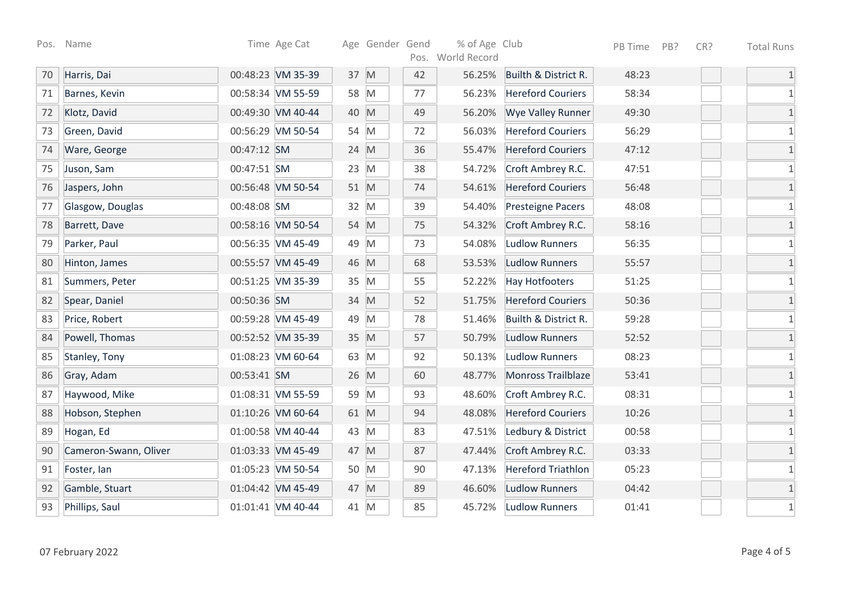|    | Pos. Name             |             | Time Age Cat      |      | Age Gender Gend |    | % of Age Club<br>Pos. World Record |                           | PB Time | PB? | CR? | <b>Total Runs</b> |
|----|-----------------------|-------------|-------------------|------|-----------------|----|------------------------------------|---------------------------|---------|-----|-----|-------------------|
| 70 | Harris, Dai           |             | 00:48:23 VM 35-39 | 37 M |                 | 42 | 56.25%                             | Builth & District R.      | 48:23   |     |     | $\mathbf{1}$      |
| 71 | Barnes, Kevin         |             | 00:58:34 VM 55-59 | 58 M |                 | 77 | 56.23%                             | <b>Hereford Couriers</b>  | 58:34   |     |     | $\mathbf{1}$      |
| 72 | Klotz, David          |             | 00:49:30 VM 40-44 | 40 M |                 | 49 | 56.20%                             | <b>Wye Valley Runner</b>  | 49:30   |     |     | $\mathbf{1}$      |
| 73 | Green, David          |             | 00:56:29 VM 50-54 | 54 M |                 | 72 | 56.03%                             | <b>Hereford Couriers</b>  | 56:29   |     |     | $\mathbf{1}$      |
| 74 | Ware, George          | 00:47:12 SM |                   | 24 M |                 | 36 | 55.47%                             | <b>Hereford Couriers</b>  | 47:12   |     |     | $\mathbf{1}$      |
| 75 | Juson, Sam            | 00:47:51 SM |                   | 23 M |                 | 38 | 54.72%                             | Croft Ambrey R.C.         | 47:51   |     |     | $\mathbf{1}$      |
| 76 | Jaspers, John         |             | 00:56:48 VM 50-54 | 51 M |                 | 74 | 54.61%                             | <b>Hereford Couriers</b>  | 56:48   |     |     | $\mathbf{1}$      |
| 77 | Glasgow, Douglas      | 00:48:08 SM |                   | 32 M |                 | 39 | 54.40%                             | Presteigne Pacers         | 48:08   |     |     | $\mathbf{1}$      |
| 78 | Barrett, Dave         |             | 00:58:16 VM 50-54 | 54 M |                 | 75 | 54.32%                             | Croft Ambrey R.C.         | 58:16   |     |     | $\mathbf{1}$      |
| 79 | Parker, Paul          |             | 00:56:35 VM 45-49 | 49 M |                 | 73 | 54.08%                             | <b>Ludlow Runners</b>     | 56:35   |     |     | $\mathbf{1}$      |
| 80 | Hinton, James         |             | 00:55:57 VM 45-49 | 46 M |                 | 68 | 53.53%                             | Ludlow Runners            | 55:57   |     |     | $1\,$             |
| 81 | Summers, Peter        |             | 00:51:25 VM 35-39 | 35 M |                 | 55 | 52.22%                             | <b>Hay Hotfooters</b>     | 51:25   |     |     | $\mathbf{1}$      |
| 82 | Spear, Daniel         | 00:50:36 SM |                   | 34 M |                 | 52 | 51.75%                             | <b>Hereford Couriers</b>  | 50:36   |     |     | $\mathbf{1}$      |
| 83 | Price, Robert         |             | 00:59:28 VM 45-49 | 49 M |                 | 78 | 51.46%                             | Builth & District R.      | 59:28   |     |     | $\mathbf{1}$      |
| 84 | Powell, Thomas        |             | 00:52:52 VM 35-39 | 35 M |                 | 57 | 50.79%                             | Ludlow Runners            | 52:52   |     |     | $\mathbf{1}$      |
| 85 | Stanley, Tony         |             | 01:08:23 VM 60-64 | 63 M |                 | 92 | 50.13%                             | <b>Ludlow Runners</b>     | 08:23   |     |     | $\mathbf{1}$      |
| 86 | Gray, Adam            | 00:53:41 SM |                   | 26 M |                 | 60 | 48.77%                             | Monross Trailblaze        | 53:41   |     |     | $\mathbf{1}$      |
| 87 | Haywood, Mike         |             | 01:08:31 VM 55-59 | 59   | M               | 93 | 48.60%                             | Croft Ambrey R.C.         | 08:31   |     |     | $\mathbf{1}$      |
| 88 | Hobson, Stephen       |             | 01:10:26 VM 60-64 | 61 M |                 | 94 | 48.08%                             | <b>Hereford Couriers</b>  | 10:26   |     |     | $\mathbf{1}$      |
| 89 | Hogan, Ed             |             | 01:00:58 VM 40-44 | 43   | M               | 83 | 47.51%                             | Ledbury & District        | 00:58   |     |     | $\mathbf{1}$      |
| 90 | Cameron-Swann, Oliver |             | 01:03:33 VM 45-49 | 47 M |                 | 87 | 47.44%                             | Croft Ambrey R.C.         | 03:33   |     |     | $\mathbf{1}$      |
| 91 | Foster, lan           |             | 01:05:23 VM 50-54 | 50 M |                 | 90 | 47.13%                             | <b>Hereford Triathlon</b> | 05:23   |     |     | $\mathbf{1}$      |
| 92 | Gamble, Stuart        |             | 01:04:42 VM 45-49 | 47 M |                 | 89 | 46.60%                             | <b>Ludlow Runners</b>     | 04:42   |     |     | $\mathbf{1}$      |
| 93 | Phillips, Saul        |             | 01:01:41 VM 40-44 | 41 M |                 | 85 | 45.72%                             | <b>Ludlow Runners</b>     | 01:41   |     |     | $\mathbf{1}$      |